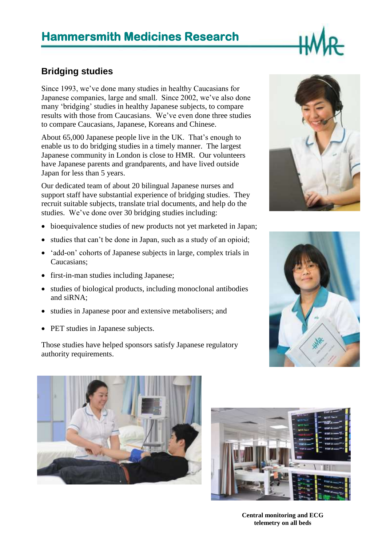# **Hammersmith Medicines Research**

### **Bridging studies**

Since 1993, we've done many studies in healthy Caucasians for Japanese companies, large and small. Since 2002, we've also done many 'bridging' studies in healthy Japanese subjects, to compare results with those from Caucasians. We've even done three studies to compare Caucasians, Japanese, Koreans and Chinese.

About 65,000 Japanese people live in the UK. That's enough to enable us to do bridging studies in a timely manner. The largest Japanese community in London is close to HMR. Our volunteers have Japanese parents and grandparents, and have lived outside Japan for less than 5 years.

Our dedicated team of about 20 bilingual Japanese nurses and support staff have substantial experience of bridging studies. They recruit suitable subjects, translate trial documents, and help do the studies. We've done over 30 bridging studies including:

- bioequivalence studies of new products not yet marketed in Japan;
- studies that can't be done in Japan, such as a study of an opioid;
- 'add-on' cohorts of Japanese subjects in large, complex trials in Caucasians;
- first-in-man studies including Japanese;
- studies of biological products, including monoclonal antibodies and siRNA;
- studies in Japanese poor and extensive metabolisers; and
- PET studies in Japanese subjects.

Those studies have helped sponsors satisfy Japanese regulatory authority requirements.









**Central monitoring and ECG telemetry on all beds**